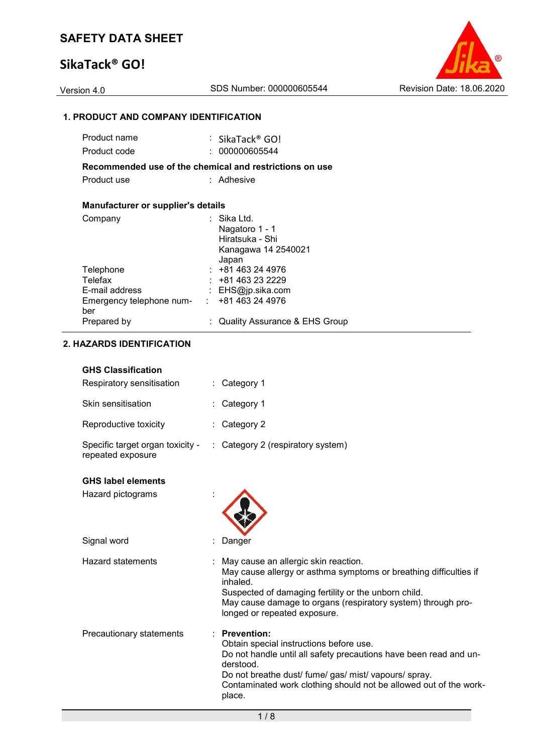# **SikaTack® GO!**

Version 4.0 SDS Number: 000000605544 Revision Date: 18.06.2020

### **1. PRODUCT AND COMPANY IDENTIFICATION**

|                                           | : SikaTack® GO!                                         |
|-------------------------------------------|---------------------------------------------------------|
|                                           | : 000000605544                                          |
|                                           | Recommended use of the chemical and restrictions on use |
|                                           | : Adhesive                                              |
|                                           |                                                         |
| <b>Manufacturer or supplier's details</b> |                                                         |
|                                           | ∶ Sika Ltd.                                             |
|                                           | Nagatoro 1 - 1                                          |
|                                           | Hiratsuka - Shi                                         |
|                                           | Kanagawa 14 2540021                                     |
|                                           | Japan                                                   |
|                                           | $: +81463244976$                                        |
|                                           | : +81 463 23 2229                                       |
|                                           | : $EHS@ip.sika.com$                                     |
|                                           | Emergency telephone num- : +81 463 24 4976              |
|                                           |                                                         |
|                                           | <b>Quality Assurance &amp; EHS Group</b>                |
|                                           |                                                         |

### **2. HAZARDS IDENTIFICATION**

### **GHS Classification**

| Respiratory sensitisation                             | : Category 1                                                                                                                                                                                                                                                                            |
|-------------------------------------------------------|-----------------------------------------------------------------------------------------------------------------------------------------------------------------------------------------------------------------------------------------------------------------------------------------|
| Skin sensitisation                                    | : Category 1                                                                                                                                                                                                                                                                            |
| Reproductive toxicity                                 | : Category 2                                                                                                                                                                                                                                                                            |
| Specific target organ toxicity -<br>repeated exposure | Category 2 (respiratory system)                                                                                                                                                                                                                                                         |
| <b>GHS label elements</b>                             |                                                                                                                                                                                                                                                                                         |
| Hazard pictograms                                     |                                                                                                                                                                                                                                                                                         |
| Signal word                                           | Danger                                                                                                                                                                                                                                                                                  |
| <b>Hazard statements</b>                              | May cause an allergic skin reaction.<br>May cause allergy or asthma symptoms or breathing difficulties if<br>inhaled.<br>Suspected of damaging fertility or the unborn child.<br>May cause damage to organs (respiratory system) through pro-<br>longed or repeated exposure.           |
| Precautionary statements                              | <b>Prevention:</b><br>Obtain special instructions before use.<br>Do not handle until all safety precautions have been read and un-<br>derstood.<br>Do not breathe dust/ fume/ gas/ mist/ vapours/ spray.<br>Contaminated work clothing should not be allowed out of the work-<br>place. |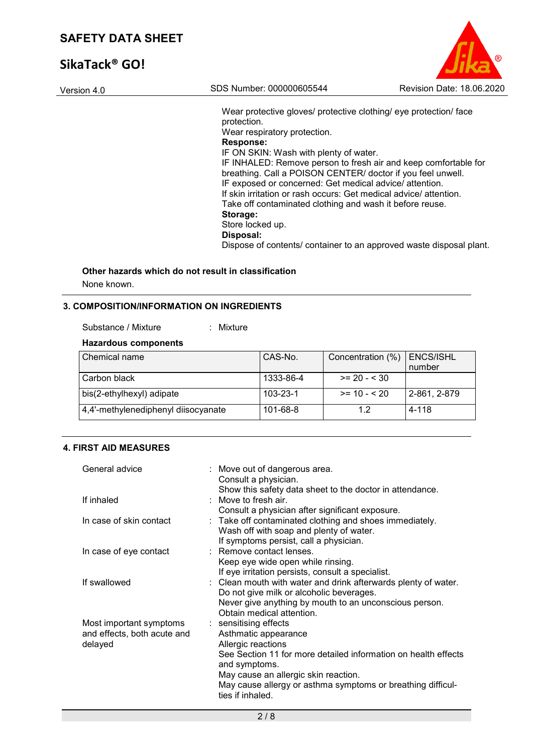# **SikaTack® GO!**

| SIKATACKTUU! |                                                                                                                                                                                                                                                                                                                                                                                                                                                                                                                                                                                                                                 |                                  |
|--------------|---------------------------------------------------------------------------------------------------------------------------------------------------------------------------------------------------------------------------------------------------------------------------------------------------------------------------------------------------------------------------------------------------------------------------------------------------------------------------------------------------------------------------------------------------------------------------------------------------------------------------------|----------------------------------|
| Version 4.0  | SDS Number: 000000605544                                                                                                                                                                                                                                                                                                                                                                                                                                                                                                                                                                                                        | <b>Revision Date: 18.06.2020</b> |
|              | Wear protective gloves/ protective clothing/ eye protection/ face<br>protection.<br>Wear respiratory protection.<br><b>Response:</b><br>IF ON SKIN: Wash with plenty of water.<br>IF INHALED: Remove person to fresh air and keep comfortable for<br>breathing. Call a POISON CENTER/ doctor if you feel unwell.<br>IF exposed or concerned: Get medical advice/attention.<br>If skin irritation or rash occurs: Get medical advice/ attention.<br>Take off contaminated clothing and wash it before reuse.<br>Storage:<br>Store locked up.<br>Disposal:<br>Dispose of contents/ container to an approved waste disposal plant. |                                  |

 $\odot$ 

# **Other hazards which do not result in classification**

None known.

### **3. COMPOSITION/INFORMATION ON INGREDIENTS**

| Substance / Mixture<br>Mixture |
|--------------------------------|
|                                |

### **Hazardous components**

| l Chemical name                     | CAS-No.        | Concentration (%) | ENCS/ISHL<br>number |
|-------------------------------------|----------------|-------------------|---------------------|
| Carbon black                        | 1333-86-4      | $>= 20 - 30$      |                     |
| bis(2-ethylhexyl) adipate           | $103 - 23 - 1$ | $>= 10 - 520$     | 2-861, 2-879        |
| 4,4'-methylenediphenyl diisocyanate | 101-68-8       | 1.2               | 4-118               |

### **4. FIRST AID MEASURES**

| General advice              | : Move out of dangerous area.<br>Consult a physician.                                                      |
|-----------------------------|------------------------------------------------------------------------------------------------------------|
|                             | Show this safety data sheet to the doctor in attendance.                                                   |
| If inhaled                  | : Move to fresh air.                                                                                       |
|                             | Consult a physician after significant exposure.                                                            |
| In case of skin contact     | : Take off contaminated clothing and shoes immediately.                                                    |
|                             | Wash off with soap and plenty of water.                                                                    |
|                             | If symptoms persist, call a physician.                                                                     |
| In case of eye contact      | : Remove contact lenses.                                                                                   |
|                             | Keep eye wide open while rinsing.                                                                          |
|                             | If eye irritation persists, consult a specialist.                                                          |
| If swallowed                | : Clean mouth with water and drink afterwards plenty of water.<br>Do not give milk or alcoholic beverages. |
|                             | Never give anything by mouth to an unconscious person.<br>Obtain medical attention.                        |
| Most important symptoms     | : sensitising effects                                                                                      |
| and effects, both acute and | Asthmatic appearance                                                                                       |
| delayed                     | Allergic reactions                                                                                         |
|                             | See Section 11 for more detailed information on health effects<br>and symptoms.                            |
|                             | May cause an allergic skin reaction.                                                                       |
|                             | May cause allergy or asthma symptoms or breathing difficul-<br>ties if inhaled.                            |
|                             |                                                                                                            |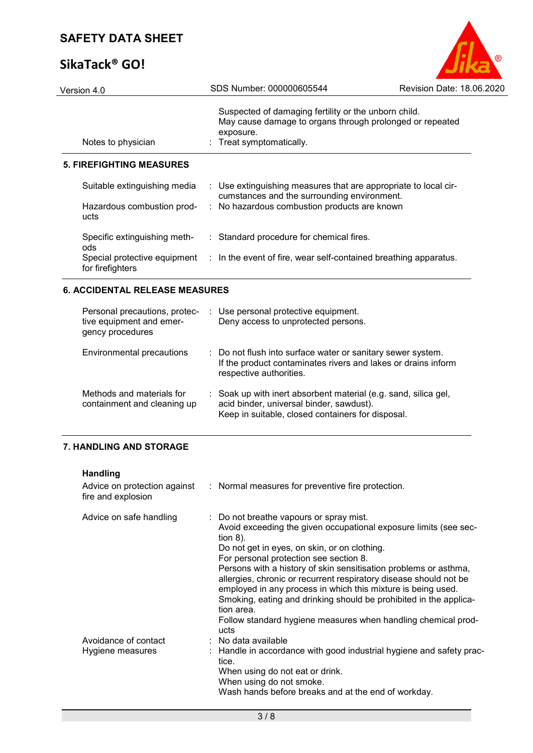# **SikaTack® GO!**



| Version 4.0                                      | SDS Number: 000000605544                                                                                                                                  | Revision Date: 18.06.2020 |
|--------------------------------------------------|-----------------------------------------------------------------------------------------------------------------------------------------------------------|---------------------------|
| Notes to physician                               | Suspected of damaging fertility or the unborn child.<br>May cause damage to organs through prolonged or repeated<br>exposure.<br>: Treat symptomatically. |                           |
| <b>5. FIREFIGHTING MEASURES</b>                  |                                                                                                                                                           |                           |
| Suitable extinguishing media                     | : Use extinguishing measures that are appropriate to local cir-<br>cumstances and the surrounding environment.                                            |                           |
| Hazardous combustion prod-<br>ucts               | : No hazardous combustion products are known                                                                                                              |                           |
| Specific extinguishing meth-<br>ods.             | : Standard procedure for chemical fires.                                                                                                                  |                           |
| Special protective equipment<br>for firefighters | : In the event of fire, wear self-contained breathing apparatus.                                                                                          |                           |

### **6. ACCIDENTAL RELEASE MEASURES**

| Personal precautions, protec-<br>tive equipment and emer-<br>gency procedures | : Use personal protective equipment.<br>Deny access to unprotected persons.                                                                                      |
|-------------------------------------------------------------------------------|------------------------------------------------------------------------------------------------------------------------------------------------------------------|
| Environmental precautions                                                     | : Do not flush into surface water or sanitary sewer system.<br>If the product contaminates rivers and lakes or drains inform<br>respective authorities.          |
| Methods and materials for<br>containment and cleaning up                      | : Soak up with inert absorbent material (e.g. sand, silica gel,<br>acid binder, universal binder, sawdust).<br>Keep in suitable, closed containers for disposal. |

### **7. HANDLING AND STORAGE**

| <b>Handling</b><br>Advice on protection against<br>fire and explosion | : Normal measures for preventive fire protection.                                                                                                                                                                                                                                                                                                                                                                                                                                                                                                                                         |
|-----------------------------------------------------------------------|-------------------------------------------------------------------------------------------------------------------------------------------------------------------------------------------------------------------------------------------------------------------------------------------------------------------------------------------------------------------------------------------------------------------------------------------------------------------------------------------------------------------------------------------------------------------------------------------|
| Advice on safe handling                                               | : Do not breathe vapours or spray mist.<br>Avoid exceeding the given occupational exposure limits (see sec-<br>tion $8$ ).<br>Do not get in eyes, on skin, or on clothing.<br>For personal protection see section 8.<br>Persons with a history of skin sensitisation problems or asthma,<br>allergies, chronic or recurrent respiratory disease should not be<br>employed in any process in which this mixture is being used.<br>Smoking, eating and drinking should be prohibited in the applica-<br>tion area.<br>Follow standard hygiene measures when handling chemical prod-<br>ucts |
| Avoidance of contact<br>Hygiene measures                              | $:$ No data available<br>: Handle in accordance with good industrial hygiene and safety prac-<br>tice.<br>When using do not eat or drink.<br>When using do not smoke.<br>Wash hands before breaks and at the end of workday.                                                                                                                                                                                                                                                                                                                                                              |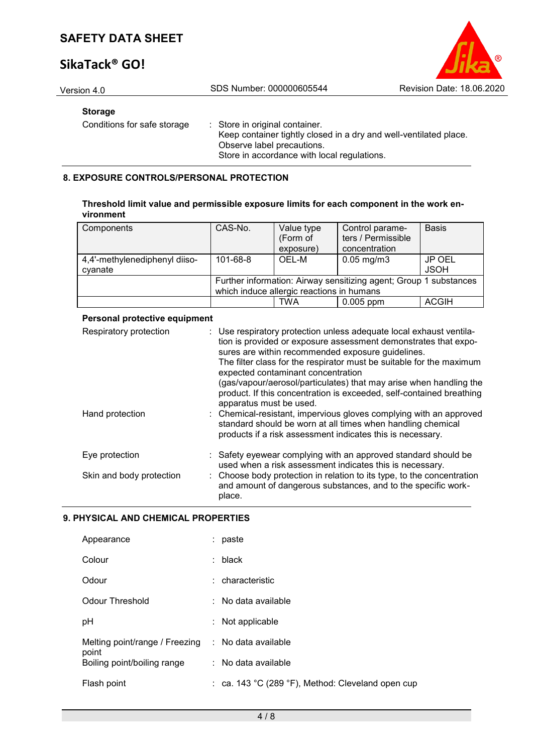# **SikaTack® GO!**



Version 4.0 SDS Number: 000000605544 Revision Date: 18.06.2020

### **Storage**

Conditions for safe storage : Store in original container. Keep container tightly closed in a dry and well-ventilated place. Observe label precautions. Store in accordance with local regulations.

### **8. EXPOSURE CONTROLS/PERSONAL PROTECTION**

| Threshold limit value and permissible exposure limits for each component in the work en- |  |
|------------------------------------------------------------------------------------------|--|
| vironment                                                                                |  |

| Components                    | CAS-No.  | Value type<br>(Form of                    | Control parame-<br>ters / Permissible                             | <b>Basis</b> |
|-------------------------------|----------|-------------------------------------------|-------------------------------------------------------------------|--------------|
|                               |          | exposure)                                 | concentration                                                     |              |
| 4,4'-methylenediphenyl diiso- | 101-68-8 | OEL-M                                     | $0.05 \,\mathrm{mg/m3}$                                           | JP OEL       |
| cvanate                       |          |                                           |                                                                   | <b>JSOH</b>  |
|                               |          |                                           | Further information: Airway sensitizing agent; Group 1 substances |              |
|                               |          | which induce allergic reactions in humans |                                                                   |              |
|                               |          | TWA                                       | $0.005$ ppm                                                       | <b>ACGIH</b> |

### **Personal protective equipment**

| Respiratory protection   | : Use respiratory protection unless adequate local exhaust ventila-<br>tion is provided or exposure assessment demonstrates that expo-<br>sures are within recommended exposure guidelines.<br>The filter class for the respirator must be suitable for the maximum<br>expected contaminant concentration<br>(gas/vapour/aerosol/particulates) that may arise when handling the<br>product. If this concentration is exceeded, self-contained breathing<br>apparatus must be used. |
|--------------------------|------------------------------------------------------------------------------------------------------------------------------------------------------------------------------------------------------------------------------------------------------------------------------------------------------------------------------------------------------------------------------------------------------------------------------------------------------------------------------------|
| Hand protection          | : Chemical-resistant, impervious gloves complying with an approved<br>standard should be worn at all times when handling chemical<br>products if a risk assessment indicates this is necessary.                                                                                                                                                                                                                                                                                    |
| Eye protection           | : Safety eyewear complying with an approved standard should be<br>used when a risk assessment indicates this is necessary.                                                                                                                                                                                                                                                                                                                                                         |
| Skin and body protection | : Choose body protection in relation to its type, to the concentration<br>and amount of dangerous substances, and to the specific work-<br>place.                                                                                                                                                                                                                                                                                                                                  |

### **9. PHYSICAL AND CHEMICAL PROPERTIES**

| Appearance                              | paste                                             |
|-----------------------------------------|---------------------------------------------------|
| Colour                                  | $:$ black                                         |
| Odour                                   | : characteristic                                  |
| Odour Threshold                         | $:$ No data available                             |
| рH                                      | Not applicable<br>t.                              |
| Melting point/range / Freezing<br>point | : No data available                               |
| Boiling point/boiling range             | $:$ No data available                             |
| Flash point                             | : ca. 143 °C (289 °F), Method: Cleveland open cup |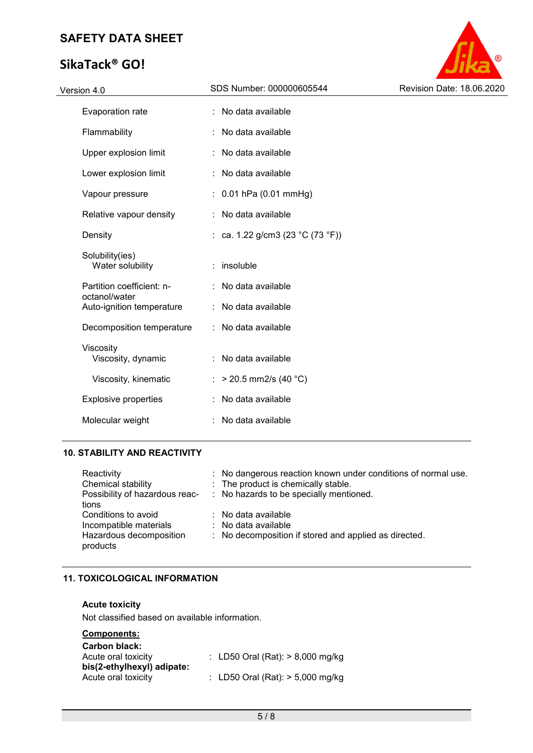# **SikaTack® GO!**



| Version 4.0                                | SDS Number: 000000605544         | Revision Date: 18.06.2020 |
|--------------------------------------------|----------------------------------|---------------------------|
| Evaporation rate                           | : No data available              |                           |
| Flammability                               | No data available                |                           |
| Upper explosion limit                      | : No data available              |                           |
| Lower explosion limit                      | No data available                |                           |
| Vapour pressure                            | $: 0.01$ hPa (0.01 mmHg)         |                           |
| Relative vapour density                    | : No data available              |                           |
| Density                                    | : ca. 1.22 g/cm3 (23 °C (73 °F)) |                           |
| Solubility(ies)<br>Water solubility        | insoluble                        |                           |
| Partition coefficient: n-                  | No data available                |                           |
| octanol/water<br>Auto-ignition temperature | : No data available              |                           |
| Decomposition temperature                  | : No data available              |                           |
| Viscosity<br>Viscosity, dynamic            | No data available                |                           |
| Viscosity, kinematic                       | $>$ 20.5 mm2/s (40 °C)           |                           |
| <b>Explosive properties</b>                | No data available                |                           |
| Molecular weight                           | No data available                |                           |
|                                            |                                  |                           |

### **10. STABILITY AND REACTIVITY**

| Reactivity<br>Chemical stability<br>Possibility of hazardous reac-<br>tions          | : No dangerous reaction known under conditions of normal use.<br>: The product is chemically stable.<br>: No hazards to be specially mentioned. |
|--------------------------------------------------------------------------------------|-------------------------------------------------------------------------------------------------------------------------------------------------|
| Conditions to avoid<br>Incompatible materials<br>Hazardous decomposition<br>products | $\therefore$ No data available<br>$\therefore$ No data available<br>: No decomposition if stored and applied as directed.                       |

### **11. TOXICOLOGICAL INFORMATION**

### **Acute toxicity**

Not classified based on available information.

### **Components:**

| <b>Carbon black:</b><br>Acute oral toxicity       | : LD50 Oral (Rat): $> 8,000$ mg/kg |  |
|---------------------------------------------------|------------------------------------|--|
| bis(2-ethylhexyl) adipate:<br>Acute oral toxicity | : LD50 Oral (Rat): $> 5,000$ mg/kg |  |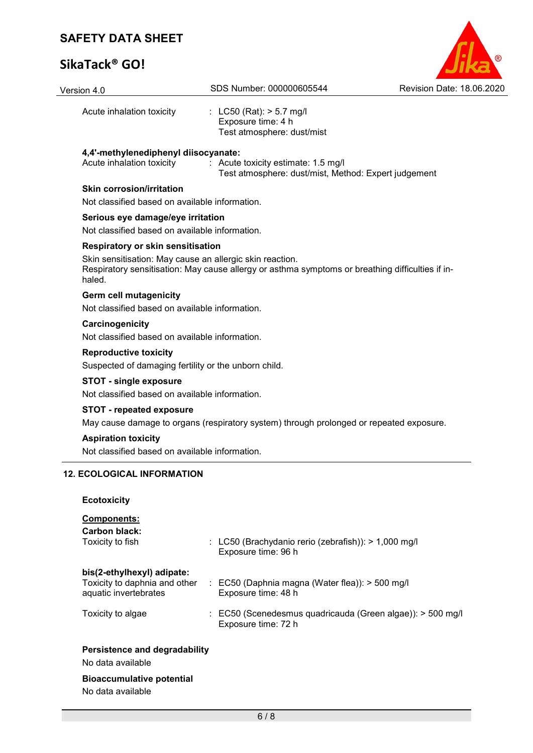# **SikaTack® GO!**

| Version 4.0                                                                          | SDS Number: 000000605544                                                                         | Revision Date: 18.06.2020 |
|--------------------------------------------------------------------------------------|--------------------------------------------------------------------------------------------------|---------------------------|
| Acute inhalation toxicity                                                            | : LC50 (Rat): $> 5.7$ mg/l<br>Exposure time: 4 h<br>Test atmosphere: dust/mist                   |                           |
| 4,4'-methylenediphenyl diisocyanate:<br>Acute inhalation toxicity                    | : Acute toxicity estimate: 1.5 mg/l<br>Test atmosphere: dust/mist, Method: Expert judgement      |                           |
| <b>Skin corrosion/irritation</b>                                                     |                                                                                                  |                           |
| Not classified based on available information.                                       |                                                                                                  |                           |
| Serious eye damage/eye irritation                                                    |                                                                                                  |                           |
| Not classified based on available information.                                       |                                                                                                  |                           |
| Respiratory or skin sensitisation                                                    |                                                                                                  |                           |
| Skin sensitisation: May cause an allergic skin reaction.<br>haled.                   | Respiratory sensitisation: May cause allergy or asthma symptoms or breathing difficulties if in- |                           |
| <b>Germ cell mutagenicity</b>                                                        |                                                                                                  |                           |
| Not classified based on available information.                                       |                                                                                                  |                           |
| Carcinogenicity<br>Not classified based on available information.                    |                                                                                                  |                           |
| <b>Reproductive toxicity</b><br>Suspected of damaging fertility or the unborn child. |                                                                                                  |                           |
| <b>STOT - single exposure</b><br>Not classified based on available information.      |                                                                                                  |                           |
| <b>STOT - repeated exposure</b>                                                      | May cause damage to organs (respiratory system) through prolonged or repeated exposure.          |                           |
| <b>Aspiration toxicity</b>                                                           |                                                                                                  |                           |
| Not classified based on available information.                                       |                                                                                                  |                           |
| <b>12. ECOLOGICAL INFORMATION</b>                                                    |                                                                                                  |                           |
| <b>Ecotoxicity</b>                                                                   |                                                                                                  |                           |
| Components:<br><b>Carbon black:</b><br>Toxicity to fish                              | : LC50 (Brachydanio rerio (zebrafish)): > 1,000 mg/l<br>Exposure time: 96 h                      |                           |
| bis(2-ethylhexyl) adipate:<br>Toxicity to daphnia and other<br>aquatic invertebrates | : EC50 (Daphnia magna (Water flea)): $>$ 500 mg/l<br>Exposure time: 48 h                         |                           |
| Toxicity to algae                                                                    | : EC50 (Scenedesmus quadricauda (Green algae)): > 500 mg/l<br>Exposure time: 72 h                |                           |

O

### **Persistence and degradability**

No data available

# **Bioaccumulative potential**

No data available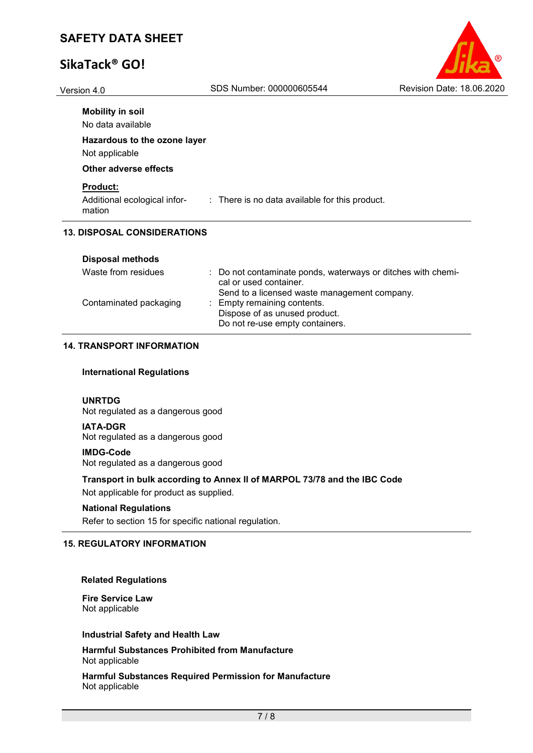# **SikaTack® GO!**

| R                                |
|----------------------------------|
| <b>Revision Date: 18.06.2020</b> |

| Version 4.0 | SDS Number: 000000605544 | <b>Revision Date: 18.06.2020</b> |
|-------------|--------------------------|----------------------------------|
|-------------|--------------------------|----------------------------------|

| <b>Mobility in soil</b> |  |
|-------------------------|--|
| No data available       |  |

**Hazardous to the ozone layer** Not applicable

### **Other adverse effects**

### **Product:**

Additional ecological information : There is no data available for this product.

### **13. DISPOSAL CONSIDERATIONS**

| Waste from residues    | : Do not contaminate ponds, waterways or ditches with chemi-<br>cal or used container.<br>Send to a licensed waste management company. |
|------------------------|----------------------------------------------------------------------------------------------------------------------------------------|
| Contaminated packaging | : Empty remaining contents.<br>Dispose of as unused product.<br>Do not re-use empty containers.                                        |

### **14. TRANSPORT INFORMATION**

### **International Regulations**

### **UNRTDG**

Not regulated as a dangerous good

### **IATA-DGR**

Not regulated as a dangerous good

#### **IMDG-Code**

Not regulated as a dangerous good

### **Transport in bulk according to Annex II of MARPOL 73/78 and the IBC Code**

Not applicable for product as supplied.

### **National Regulations**

Refer to section 15 for specific national regulation.

### **15. REGULATORY INFORMATION**

#### **Related Regulations**

**Fire Service Law** Not applicable

#### **Industrial Safety and Health Law**

**Harmful Substances Prohibited from Manufacture** Not applicable

**Harmful Substances Required Permission for Manufacture** Not applicable